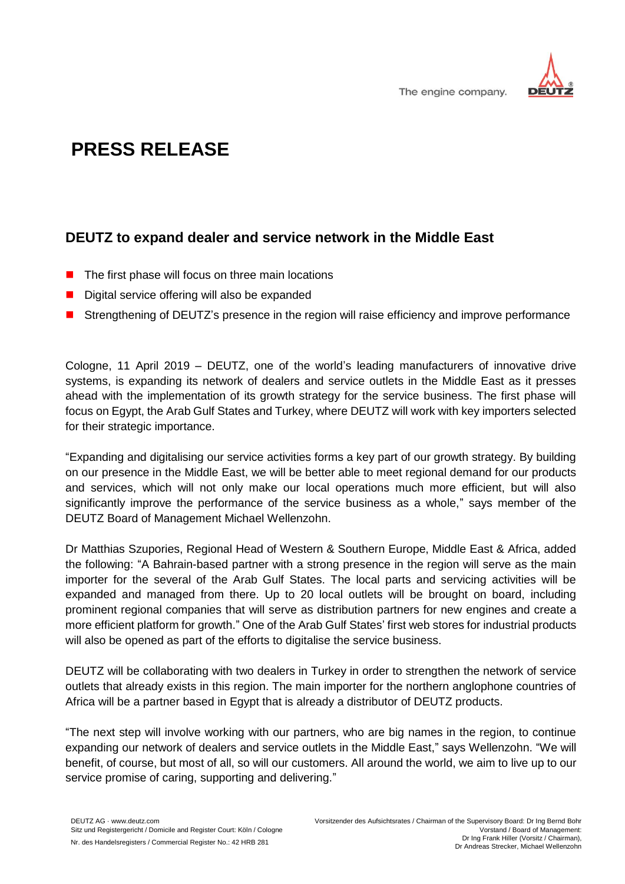

## **PRESS RELEASE**

## **DEUTZ to expand dealer and service network in the Middle East**

- $\blacksquare$  The first phase will focus on three main locations
- Digital service offering will also be expanded
- Strengthening of DEUTZ's presence in the region will raise efficiency and improve performance

Cologne, 11 April 2019 – DEUTZ, one of the world's leading manufacturers of innovative drive systems, is expanding its network of dealers and service outlets in the Middle East as it presses ahead with the implementation of its growth strategy for the service business. The first phase will focus on Egypt, the Arab Gulf States and Turkey, where DEUTZ will work with key importers selected for their strategic importance.

"Expanding and digitalising our service activities forms a key part of our growth strategy. By building on our presence in the Middle East, we will be better able to meet regional demand for our products and services, which will not only make our local operations much more efficient, but will also significantly improve the performance of the service business as a whole," says member of the DEUTZ Board of Management Michael Wellenzohn.

Dr Matthias Szupories, Regional Head of Western & Southern Europe, Middle East & Africa, added the following: "A Bahrain-based partner with a strong presence in the region will serve as the main importer for the several of the Arab Gulf States. The local parts and servicing activities will be expanded and managed from there. Up to 20 local outlets will be brought on board, including prominent regional companies that will serve as distribution partners for new engines and create a more efficient platform for growth." One of the Arab Gulf States' first web stores for industrial products will also be opened as part of the efforts to digitalise the service business.

DEUTZ will be collaborating with two dealers in Turkey in order to strengthen the network of service outlets that already exists in this region. The main importer for the northern anglophone countries of Africa will be a partner based in Egypt that is already a distributor of DEUTZ products.

"The next step will involve working with our partners, who are big names in the region, to continue expanding our network of dealers and service outlets in the Middle East," says Wellenzohn. "We will benefit, of course, but most of all, so will our customers. All around the world, we aim to live up to our service promise of caring, supporting and delivering."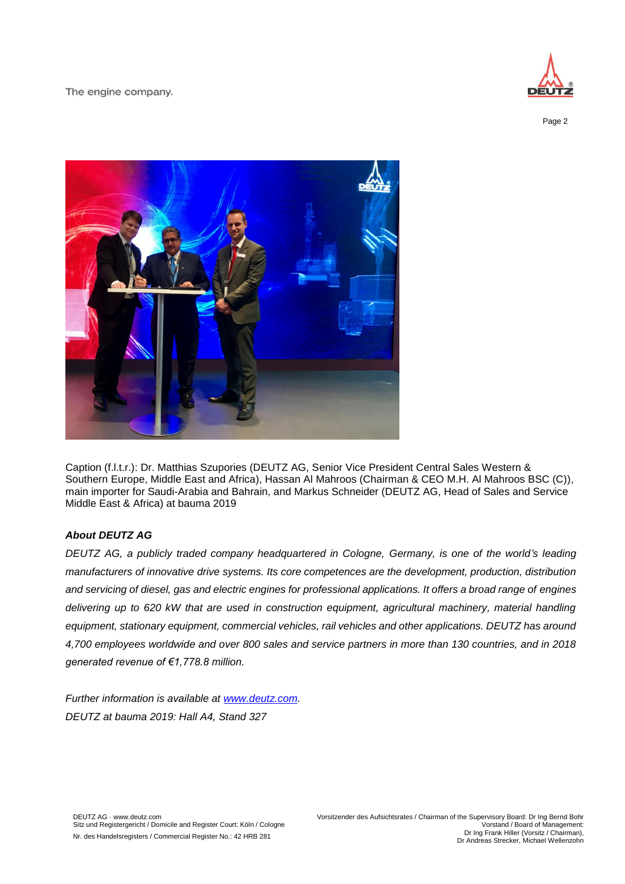The engine company.



Page 2



Caption (f.l.t.r.): Dr. Matthias Szupories (DEUTZ AG, Senior Vice President Central Sales Western & Southern Europe, Middle East and Africa), Hassan Al Mahroos (Chairman & CEO M.H. Al Mahroos BSC (C)), main importer for Saudi-Arabia and Bahrain, and Markus Schneider (DEUTZ AG, Head of Sales and Service Middle East & Africa) at bauma 2019

## *About DEUTZ AG*

*DEUTZ AG, a publicly traded company headquartered in Cologne, Germany, is one of the world's leading manufacturers of innovative drive systems. Its core competences are the development, production, distribution and servicing of diesel, gas and electric engines for professional applications. It offers a broad range of engines delivering up to 620 kW that are used in construction equipment, agricultural machinery, material handling equipment, stationary equipment, commercial vehicles, rail vehicles and other applications. DEUTZ has around 4,700 employees worldwide and over 800 sales and service partners in more than 130 countries, and in 2018 generated revenue of €1,778.8 million.*

*Further information is available at [www.deutz.com.](http://www.deutz.com/) DEUTZ at bauma 2019: Hall A4, Stand 327*